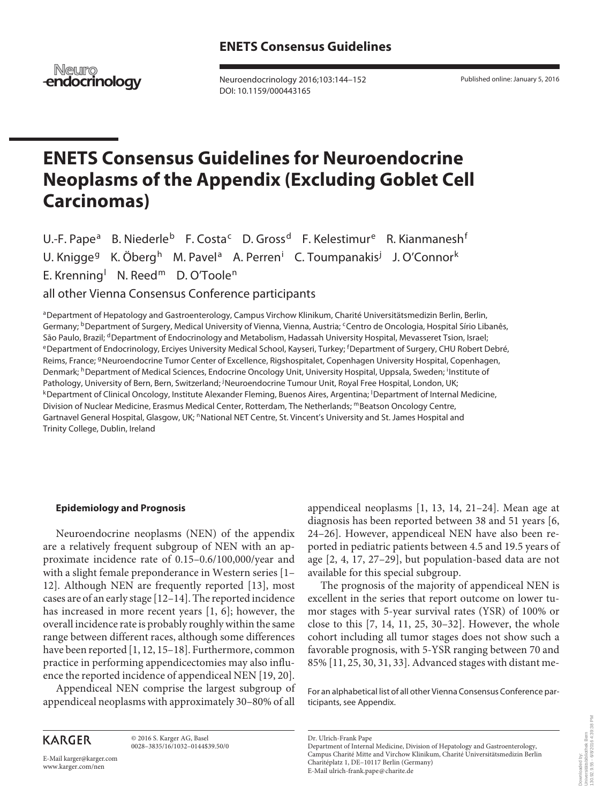Neuro **endocrinology** 

 Neuroendocrinology 2016;103:144–152 DOI: 10.1159/000443165

Published online: January 5, 2016

# **ENETS Consensus Guidelines for Neuroendocrine Neoplasms of the Appendix (Excluding Goblet Cell Carcinomas)**

 $U.-F.$  Pape $^a$ B. Niederle<sup>b</sup> F. Costa<sup>c</sup> D. Gross<sup>d</sup> F. Kelestimur<sup>e</sup> R. Kianmanesh<sup>f</sup> U. Knigge<sup>g</sup> K. Öberg<sup>h</sup> M. Pavel<sup>a</sup> A. Perren<sup>i</sup> C. Toumpanakis<sup>j</sup> J. O'Connor<sup>k</sup> E. Krenning<sup>l</sup> N. Reed<sup>m</sup> D. O'Toole<sup>n</sup>

all other Vienna Consensus Conference participants

a Department of Hepatology and Gastroenterology, Campus Virchow Klinikum, Charité Universitätsmedizin Berlin, Berlin, Germany; <sup>b</sup> Department of Surgery, Medical University of Vienna, Vienna, Austria; <sup>c</sup> Centro de Oncologia, Hospital Sírio Libanês, São Paulo, Brazil; <sup>d</sup>Department of Endocrinology and Metabolism, Hadassah University Hospital, Mevasseret Tsion, Israel;<br><sup>e</sup>Department of Endocrinology, Erciyes University Medical School, Kayseri, Turkey; <sup>f</sup>Department of Reims, France; <sup>g</sup> Neuroendocrine Tumor Center of Excellence, Rigshospitalet, Copenhagen University Hospital, Copenhagen, Denmark; <sup>h</sup> Department of Medical Sciences, Endocrine Oncology Unit, University Hospital, Uppsala, Sweden; <sup>i</sup> Institute of Pathology, University of Bern, Bern, Switzerland; <sup>j</sup> Neuroendocrine Tumour Unit, Royal Free Hospital, London, UK; kDepartment of Clinical Oncology, Institute Alexander Fleming, Buenos Aires, Argentina; <sup>I</sup>Department of Internal Medicine, Division of Nuclear Medicine, Erasmus Medical Center, Rotterdam, The Netherlands; mBeatson Oncology Centre, Gartnavel General Hospital, Glasgow, UK; "National NET Centre, St. Vincent's University and St. James Hospital and Trinity College, Dublin, Ireland

#### **Epidemiology and Prognosis**

 Neuroendocrine neoplasms (NEN) of the appendix are a relatively frequent subgroup of NEN with an approximate incidence rate of 0.15–0.6/100,000/year and with a slight female preponderance in Western series [1– 12]. Although NEN are frequently reported [13], most cases are of an early stage [12–14] . The reported incidence has increased in more recent years  $[1, 6]$ ; however, the overall incidence rate is probably roughly within the same range between different races, although some differences have been reported [1, 12, 15–18]. Furthermore, common practice in performing appendicectomies may also influence the reported incidence of appendiceal NEN [19, 20] .

 Appendiceal NEN comprise the largest subgroup of appendiceal neoplasms with approximately 30–80% of all

**KARGER** 

E-Mail karger@karger.com

www.karger.com/nen

 © 2016 S. Karger AG, Basel 0028–3835/16/1032–0144\$39.50/0 appendiceal neoplasms  $[1, 13, 14, 21-24]$ . Mean age at diagnosis has been reported between 38 and 51 years [6, 24–26] . However, appendiceal NEN have also been reported in pediatric patients between 4.5 and 19.5 years of age [2, 4, 17, 27–29] , but population-based data are not available for this special subgroup.

 The prognosis of the majority of appendiceal NEN is excellent in the series that report outcome on lower tumor stages with 5-year survival rates (YSR) of 100% or close to this [7, 14, 11, 25, 30–32] . However, the whole cohort including all tumor stages does not show such a favorable prognosis, with 5-YSR ranging between 70 and 85% [11, 25, 30, 31, 33] . Advanced stages with distant me-

 For an alphabetical list of all other Vienna Consensus Conference participants, see Appendix.

Downloaded by: Universitätsbibliothek Bern 130.92.9.55 - 6/8/2016 4:39:38 PM

Downloaded by:<br>Universitätsbibliothek Bern<br>130.92.9.55 - 6/8/2016 4:39:38 PM

Dr. Ulrich-Frank Pape

Department of Internal Medicine, Division of Hepatology and Gastroenterology, Campus Charité Mitte and Virchow Klinikum, Charité Universitätsmedizin Berlin Charitéplatz 1, DE-10117 Berlin (Germany) E-Mail ulrich-frank.pape @ charite.de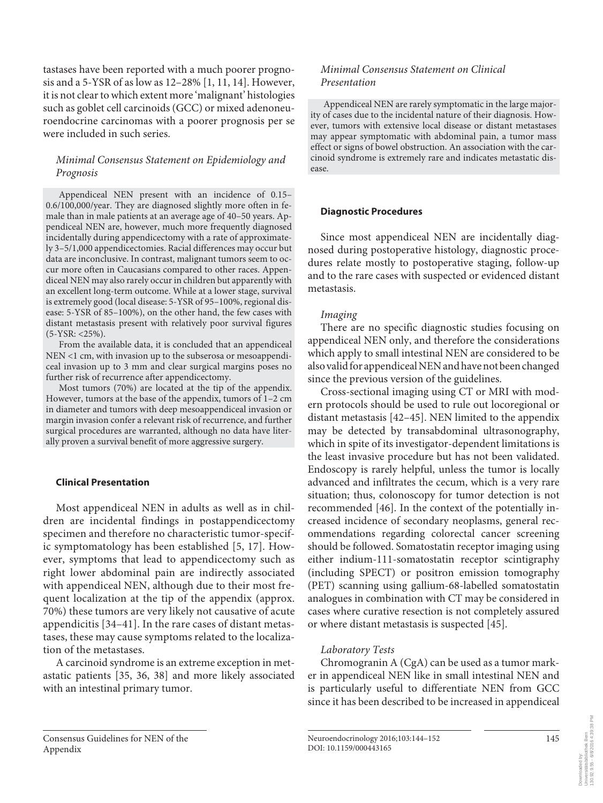tastases have been reported with a much poorer prognosis and a 5-YSR of as low as 12–28% [1, 11, 14] . However, it is not clear to which extent more 'malignant' histologies such as goblet cell carcinoids (GCC) or mixed adenoneuroendocrine carcinomas with a poorer prognosis per se were included in such series.

# *Minimal Consensus Statement on Epidemiology and Prognosis*

 Appendiceal NEN present with an incidence of 0.15– 0.6/100,000/year. They are diagnosed slightly more often in female than in male patients at an average age of 40–50 years. Appendiceal NEN are, however, much more frequently diagnosed incidentally during appendicectomy with a rate of approximately 3–5/1,000 appendicectomies. Racial differences may occur but data are inconclusive. In contrast, malignant tumors seem to occur more often in Caucasians compared to other races. Appendiceal NEN may also rarely occur in children but apparently with an excellent long-term outcome. While at a lower stage, survival is extremely good (local disease: 5-YSR of 95–100%, regional disease: 5-YSR of 85–100%), on the other hand, the few cases with distant metastasis present with relatively poor survival figures (5-YSR: <25%).

 From the available data, it is concluded that an appendiceal NEN <1 cm, with invasion up to the subserosa or mesoappendiceal invasion up to 3 mm and clear surgical margins poses no further risk of recurrence after appendicectomy.

 Most tumors (70%) are located at the tip of the appendix. However, tumors at the base of the appendix, tumors of 1–2 cm in diameter and tumors with deep mesoappendiceal invasion or margin invasion confer a relevant risk of recurrence, and further surgical procedures are warranted, although no data have literally proven a survival benefit of more aggressive surgery.

#### **Clinical Presentation**

 Most appendiceal NEN in adults as well as in children are incidental findings in postappendicectomy specimen and therefore no characteristic tumor-specific symptomatology has been established [5, 17] . However, symptoms that lead to appendicectomy such as right lower abdominal pain are indirectly associated with appendiceal NEN, although due to their most frequent localization at the tip of the appendix (approx. 70%) these tumors are very likely not causative of acute appendicitis [34–41] . In the rare cases of distant metastases, these may cause symptoms related to the localization of the metastases.

 A carcinoid syndrome is an extreme exception in metastatic patients [35, 36, 38] and more likely associated with an intestinal primary tumor.

# *Minimal Consensus Statement on Clinical Presentation*

 Appendiceal NEN are rarely symptomatic in the large majority of cases due to the incidental nature of their diagnosis. However, tumors with extensive local disease or distant metastases may appear symptomatic with abdominal pain, a tumor mass effect or signs of bowel obstruction. An association with the carcinoid syndrome is extremely rare and indicates metastatic disease.

#### **Diagnostic Procedures**

 Since most appendiceal NEN are incidentally diagnosed during postoperative histology, diagnostic procedures relate mostly to postoperative staging, follow-up and to the rare cases with suspected or evidenced distant metastasis.

#### *Imaging*

 There are no specific diagnostic studies focusing on appendiceal NEN only, and therefore the considerations which apply to small intestinal NEN are considered to be also valid for appendiceal NEN and have not been changed since the previous version of the guidelines.

 Cross-sectional imaging using CT or MRI with modern protocols should be used to rule out locoregional or distant metastasis [42–45] . NEN limited to the appendix may be detected by transabdominal ultrasonography, which in spite of its investigator-dependent limitations is the least invasive procedure but has not been validated. Endoscopy is rarely helpful, unless the tumor is locally advanced and infiltrates the cecum, which is a very rare situation; thus, colonoscopy for tumor detection is not recommended [46]. In the context of the potentially increased incidence of secondary neoplasms, general recommendations regarding colorectal cancer screening should be followed. Somatostatin receptor imaging using either indium-111-somatostatin receptor scintigraphy (including SPECT) or positron emission tomography (PET) scanning using gallium-68-labelled somatostatin analogues in combination with CT may be considered in cases where curative resection is not completely assured or where distant metastasis is suspected [45] .

#### *Laboratory Tests*

 Chromogranin A (CgA) can be used as a tumor marker in appendiceal NEN like in small intestinal NEN and is particularly useful to differentiate NEN from GCC since it has been described to be increased in appendiceal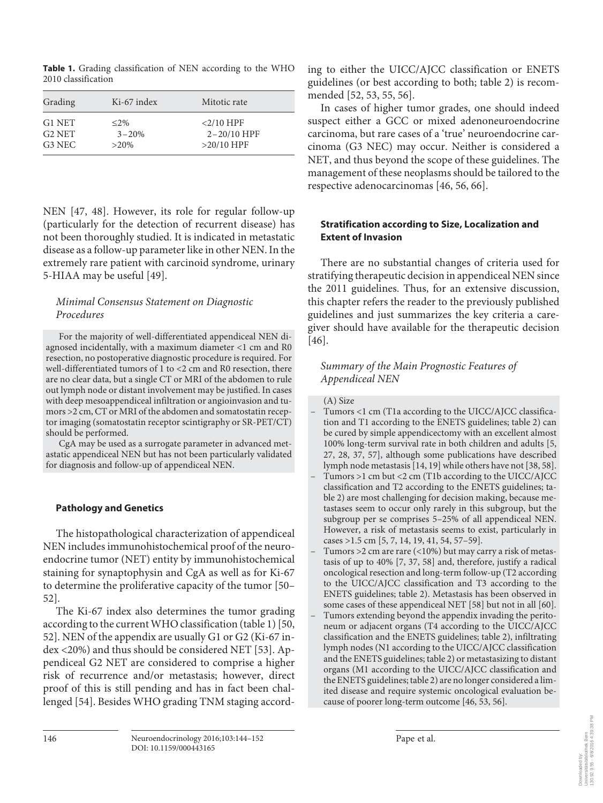**Table 1.** Grading classification of NEN according to the WHO 2010 classification

| Grading            | Ki-67 index | Mitotic rate    |
|--------------------|-------------|-----------------|
| G1 NET             | $\leq$ 2%   | $<$ 2/10 HPF    |
| G <sub>2</sub> NET | $3 - 20%$   | $2 - 20/10$ HPF |
| G3 NEC             | $>20\%$     | $>20/10$ HPF    |

NEN [47, 48]. However, its role for regular follow-up (particularly for the detection of recurrent disease) has not been thoroughly studied. It is indicated in metastatic disease as a follow-up parameter like in other NEN. In the extremely rare patient with carcinoid syndrome, urinary 5-HIAA may be useful [49] .

# *Minimal Consensus Statement on Diagnostic Procedures*

 For the majority of well-differentiated appendiceal NEN diagnosed incidentally, with a maximum diameter <1 cm and R0 resection, no postoperative diagnostic procedure is required. For well-differentiated tumors of 1 to <2 cm and R0 resection, there are no clear data, but a single CT or MRI of the abdomen to rule out lymph node or distant involvement may be justified. In cases with deep mesoappendiceal infiltration or angioinvasion and tumors >2 cm, CT or MRI of the abdomen and somatostatin receptor imaging (somatostatin receptor scintigraphy or SR-PET/CT) should be performed.

 CgA may be used as a surrogate parameter in advanced metastatic appendiceal NEN but has not been particularly validated for diagnosis and follow-up of appendiceal NEN.

## **Pathology and Genetics**

 The histopathological characterization of appendiceal NEN includes immunohistochemical proof of the neuroendocrine tumor (NET) entity by immunohistochemical staining for synaptophysin and CgA as well as for Ki-67 to determine the proliferative capacity of the tumor [50– 52] .

 The Ki-67 index also determines the tumor grading according to the current WHO classification (table 1) [50, 52] . NEN of the appendix are usually G1 or G2 (Ki-67 index <20%) and thus should be considered NET [53]. Appendiceal G2 NET are considered to comprise a higher risk of recurrence and/or metastasis; however, direct proof of this is still pending and has in fact been challenged [54]. Besides WHO grading TNM staging according to either the UICC/AJCC classification or ENETS guidelines (or best according to both; table 2) is recommended [52, 53, 55, 56].

 In cases of higher tumor grades, one should indeed suspect either a GCC or mixed adenoneuroendocrine carcinoma, but rare cases of a 'true' neuroendocrine carcinoma (G3 NEC) may occur. Neither is considered a NET, and thus beyond the scope of these guidelines. The management of these neoplasms should be tailored to the respective adenocarcinomas [46, 56, 66] .

# **Stratification according to Size, Localization and Extent of Invasion**

 There are no substantial changes of criteria used for stratifying therapeutic decision in appendiceal NEN since the 2011 guidelines. Thus, for an extensive discussion, this chapter refers the reader to the previously published guidelines and just summarizes the key criteria a caregiver should have available for the therapeutic decision  $[46]$ .

# *Summary of the Main Prognostic Features of Appendiceal NEN*

#### (A) Size

- Tumors <1 cm (T1a according to the UICC/AJCC classification and T1 according to the ENETS guidelines; table 2) can be cured by simple appendicectomy with an excellent almost 100% long-term survival rate in both children and adults [5, 27, 28, 37, 57] , although some publications have described lymph node metastasis [14, 19] while others have not [38, 58] .
- Tumors >1 cm but <2 cm (T1b according to the UICC/AJCC classification and T2 according to the ENETS guidelines; table 2) are most challenging for decision making, because metastases seem to occur only rarely in this subgroup, but the subgroup per se comprises 5–25% of all appendiceal NEN. However, a risk of metastasis seems to exist, particularly in cases >1.5 cm [5, 7, 14, 19, 41, 54, 57-59].
- Tumors  $>$  2 cm are rare (<10%) but may carry a risk of metastasis of up to 40% [7, 37, 58] and, therefore, justify a radical oncological resection and long-term follow-up (T2 according to the UICC/AJCC classification and T3 according to the ENETS guidelines; table 2). Metastasis has been observed in some cases of these appendiceal NET [58] but not in all [60].
- Tumors extending beyond the appendix invading the peritoneum or adjacent organs (T4 according to the UICC/AJCC classification and the ENETS guidelines; table 2), infiltrating lymph nodes (N1 according to the UICC/AJCC classification and the ENETS guidelines; table 2) or metastasizing to distant organs (M1 according to the UICC/AJCC classification and the ENETS guidelines; table 2) are no longer considered a limited disease and require systemic oncological evaluation because of poorer long-term outcome [46, 53, 56] .

146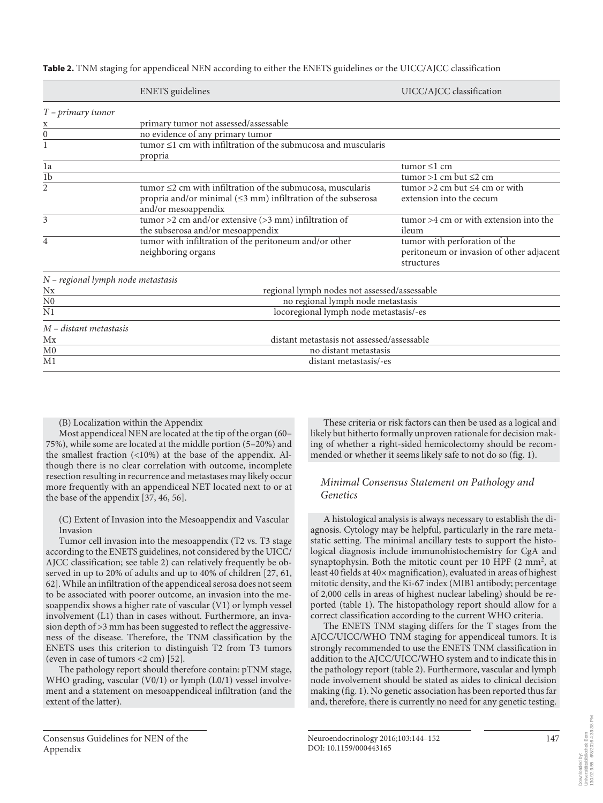| $T$ – primary tumor<br>primary tumor not assessed/assessable<br>X<br>no evidence of any primary tumor<br>0<br>$tumor \leq 1$ cm with infiltration of the submucosa and muscularis<br>1 | UICC/AJCC classification               |  |  |
|----------------------------------------------------------------------------------------------------------------------------------------------------------------------------------------|----------------------------------------|--|--|
|                                                                                                                                                                                        |                                        |  |  |
|                                                                                                                                                                                        |                                        |  |  |
|                                                                                                                                                                                        |                                        |  |  |
|                                                                                                                                                                                        |                                        |  |  |
| propria                                                                                                                                                                                |                                        |  |  |
| tumor $\leq$ 1 cm<br>1a                                                                                                                                                                |                                        |  |  |
| $\overline{1b}$<br>tumor >1 cm but $\leq$ 2 cm                                                                                                                                         |                                        |  |  |
| 2<br>tumor $\leq$ 2 cm with infiltration of the submucosa, muscularis<br>tumor >2 cm but $\leq$ 4 cm or with                                                                           |                                        |  |  |
| propria and/or minimal $(\leq 3$ mm) infiltration of the subserosa<br>extension into the cecum                                                                                         |                                        |  |  |
| and/or mesoappendix                                                                                                                                                                    |                                        |  |  |
| tumor >2 cm and/or extensive $(>3$ mm) infiltration of<br>$t$ umor >4 cm or with extension into the<br>3                                                                               |                                        |  |  |
| the subserosa and/or mesoappendix<br>ileum                                                                                                                                             |                                        |  |  |
| tumor with infiltration of the peritoneum and/or other<br>tumor with perforation of the<br>4                                                                                           |                                        |  |  |
| peritoneum or invasion of other adjacent<br>neighboring organs                                                                                                                         |                                        |  |  |
| structures                                                                                                                                                                             |                                        |  |  |
| N - regional lymph node metastasis                                                                                                                                                     |                                        |  |  |
| Nx<br>regional lymph nodes not assessed/assessable                                                                                                                                     |                                        |  |  |
| no regional lymph node metastasis<br>N <sub>0</sub>                                                                                                                                    |                                        |  |  |
| $\overline{\rm N1}$                                                                                                                                                                    | locoregional lymph node metastasis/-es |  |  |
| M – distant metastasis                                                                                                                                                                 |                                        |  |  |
| distant metastasis not assessed/assessable<br>Mx                                                                                                                                       |                                        |  |  |
| M <sub>0</sub><br>no distant metastasis                                                                                                                                                |                                        |  |  |
| M1<br>distant metastasis/-es                                                                                                                                                           |                                        |  |  |

 **Table 2.** TNM staging for appendiceal NEN according to either the ENETS guidelines or the UICC/AJCC classification

(B) Localization within the Appendix

 Most appendiceal NEN are located at the tip of the organ (60– 75%), while some are located at the middle portion (5–20%) and the smallest fraction (<10%) at the base of the appendix. Although there is no clear correlation with outcome, incomplete resection resulting in recurrence and metastases may likely occur more frequently with an appendiceal NET located next to or at the base of the appendix [37, 46, 56] .

 (C) Extent of Invasion into the Mesoappendix and Vascular Invasion

 Tumor cell invasion into the mesoappendix (T2 vs. T3 stage according to the ENETS guidelines, not considered by the UICC/ AJCC classification; see table 2) can relatively frequently be observed in up to 20% of adults and up to 40% of children [27, 61, 62] . While an infiltration of the appendiceal serosa does not seem to be associated with poorer outcome, an invasion into the mesoappendix shows a higher rate of vascular (V1) or lymph vessel involvement (L1) than in cases without. Furthermore, an invasion depth of >3 mm has been suggested to reflect the aggressiveness of the disease. Therefore, the TNM classification by the ENETS uses this criterion to distinguish T2 from T3 tumors (even in case of tumors <2 cm) [52] .

 The pathology report should therefore contain: pTNM stage, WHO grading, vascular (V0/1) or lymph (L0/1) vessel involvement and a statement on mesoappendiceal infiltration (and the extent of the latter).

 These criteria or risk factors can then be used as a logical and likely but hitherto formally unproven rationale for decision making of whether a right-sided hemicolectomy should be recommended or whether it seems likely safe to not do so (fig. 1).

#### *Minimal Consensus Statement on Pathology and Genetics*

 A histological analysis is always necessary to establish the diagnosis. Cytology may be helpful, particularly in the rare metastatic setting. The minimal ancillary tests to support the histological diagnosis include immunohistochemistry for CgA and synaptophysin. Both the mitotic count per 10 HPF (2 mm<sup>2</sup>, at least 40 fields at 40× magnification), evaluated in areas of highest mitotic density, and the Ki-67 index (MIB1 antibody; percentage of 2,000 cells in areas of highest nuclear labeling) should be reported (table 1). The histopathology report should allow for a correct classification according to the current WHO criteria.

 The ENETS TNM staging differs for the T stages from the AJCC/UICC/WHO TNM staging for appendiceal tumors. It is strongly recommended to use the ENETS TNM classification in addition to the AJCC/UICC/WHO system and to indicate this in the pathology report (table 2). Furthermore, vascular and lymph node involvement should be stated as aides to clinical decision making (fig. 1). No genetic association has been reported thus far and, therefore, there is currently no need for any genetic testing.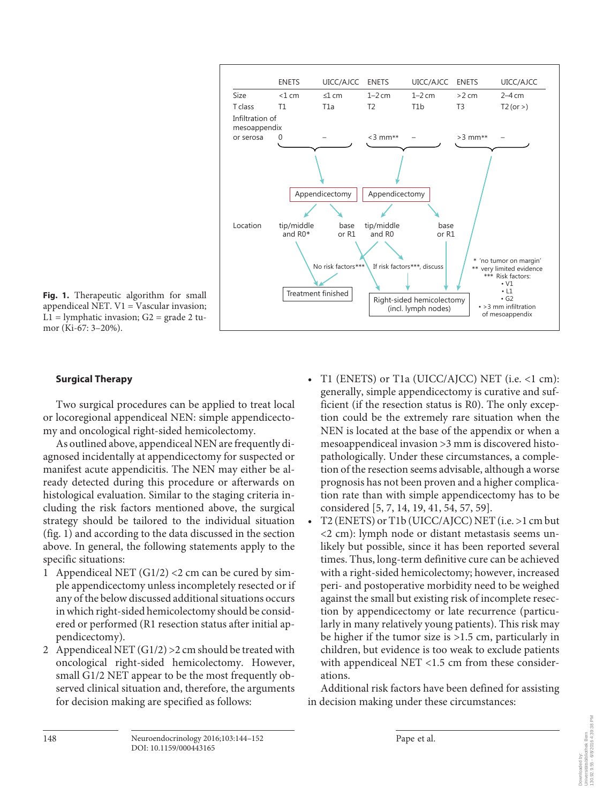

Fig. 1. Therapeutic algorithm for small appendiceal NET.  $V1 = V$ ascular invasion;  $L1 =$  lymphatic invasion;  $G2 =$  grade 2 tumor (Ki-67: 3–20%).

#### **Surgical Therapy**

 Two surgical procedures can be applied to treat local or locoregional appendiceal NEN: simple appendicectomy and oncological right-sided hemicolectomy.

 As outlined above, appendiceal NEN are frequently diagnosed incidentally at appendicectomy for suspected or manifest acute appendicitis. The NEN may either be already detected during this procedure or afterwards on histological evaluation. Similar to the staging criteria including the risk factors mentioned above, the surgical strategy should be tailored to the individual situation (fig. 1) and according to the data discussed in the section above. In general, the following statements apply to the specific situations:

- 1 Appendiceal NET  $(G1/2)$  < 2 cm can be cured by simple appendicectomy unless incompletely resected or if any of the below discussed additional situations occurs in which right-sided hemicolectomy should be considered or performed (R1 resection status after initial appendicectomy).
- 2 Appendiceal NET  $(G1/2) > 2$  cm should be treated with oncological right-sided hemicolectomy. However, small G1/2 NET appear to be the most frequently observed clinical situation and, therefore, the arguments for decision making are specified as follows:
- T1 (ENETS) or T1a (UICC/AJCC) NET (i.e. <1 cm): generally, simple appendicectomy is curative and sufficient (if the resection status is R0). The only exception could be the extremely rare situation when the NEN is located at the base of the appendix or when a mesoappendiceal invasion >3 mm is discovered histopathologically. Under these circumstances, a completion of the resection seems advisable, although a worse prognosis has not been proven and a higher complication rate than with simple appendicectomy has to be considered [5, 7, 14, 19, 41, 54, 57, 59].
- T2 (ENETS) or T1b (UICC/AJCC) NET (i.e. >1 cm but <2 cm): lymph node or distant metastasis seems unlikely but possible, since it has been reported several times. Thus, long-term definitive cure can be achieved with a right-sided hemicolectomy; however, increased peri- and postoperative morbidity need to be weighed against the small but existing risk of incomplete resection by appendicectomy or late recurrence (particularly in many relatively young patients). This risk may be higher if the tumor size is >1.5 cm, particularly in children, but evidence is too weak to exclude patients with appendiceal NET <1.5 cm from these considerations.

 Additional risk factors have been defined for assisting in decision making under these circumstances: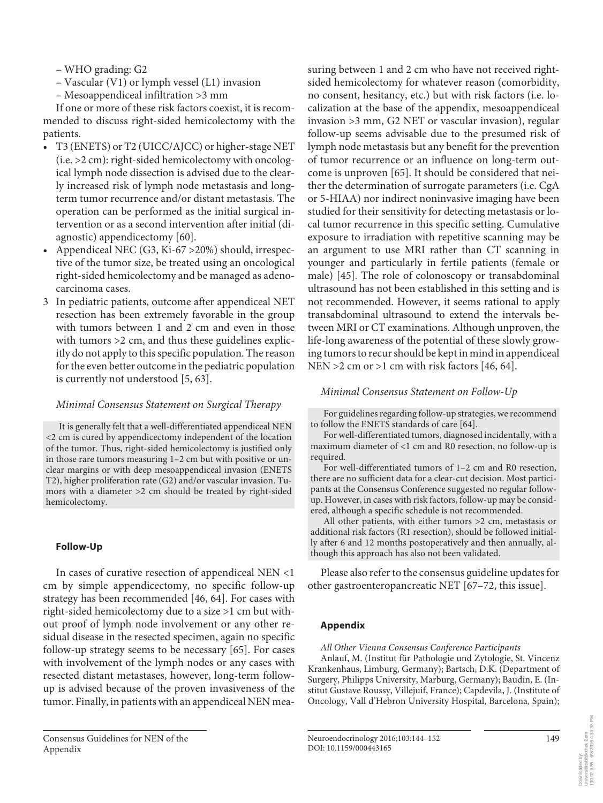– WHO grading: G2

- Vascular (V1) or lymph vessel (L1) invasion
- Mesoappendiceal infiltration >3 mm

 If one or more of these risk factors coexist, it is recommended to discuss right-sided hemicolectomy with the patients.

- T3 (ENETS) or T2 (UICC/AJCC) or higher-stage NET (i.e. >2 cm): right-sided hemicolectomy with oncological lymph node dissection is advised due to the clearly increased risk of lymph node metastasis and longterm tumor recurrence and/or distant metastasis. The operation can be performed as the initial surgical intervention or as a second intervention after initial (diagnostic) appendicectomy [60].
- Appendiceal NEC (G3, Ki-67 >20%) should, irrespective of the tumor size, be treated using an oncological right-sided hemicolectomy and be managed as adenocarcinoma cases.
- 3 In pediatric patients, outcome after appendiceal NET resection has been extremely favorable in the group with tumors between 1 and 2 cm and even in those with tumors >2 cm, and thus these guidelines explicitly do not apply to this specific population. The reason for the even better outcome in the pediatric population is currently not understood [5, 63] .

## *Minimal Consensus Statement on Surgical Therapy*

 It is generally felt that a well-differentiated appendiceal NEN <2 cm is cured by appendicectomy independent of the location of the tumor. Thus, right-sided hemicolectomy is justified only in those rare tumors measuring 1–2 cm but with positive or unclear margins or with deep mesoappendiceal invasion (ENETS T2), higher proliferation rate (G2) and/or vascular invasion. Tumors with a diameter >2 cm should be treated by right-sided hemicolectomy.

## **Follow-Up**

 In cases of curative resection of appendiceal NEN <1 cm by simple appendicectomy, no specific follow-up strategy has been recommended [46, 64] . For cases with right-sided hemicolectomy due to a size >1 cm but without proof of lymph node involvement or any other residual disease in the resected specimen, again no specific follow-up strategy seems to be necessary [65]. For cases with involvement of the lymph nodes or any cases with resected distant metastases, however, long-term followup is advised because of the proven invasiveness of the tumor. Finally, in patients with an appendiceal NEN measuring between 1 and 2 cm who have not received rightsided hemicolectomy for whatever reason (comorbidity, no consent, hesitancy, etc.) but with risk factors (i.e. localization at the base of the appendix, mesoappendiceal invasion >3 mm, G2 NET or vascular invasion), regular follow-up seems advisable due to the presumed risk of lymph node metastasis but any benefit for the prevention of tumor recurrence or an influence on long-term outcome is unproven [65] . It should be considered that neither the determination of surrogate parameters (i.e. CgA or 5-HIAA) nor indirect noninvasive imaging have been studied for their sensitivity for detecting metastasis or local tumor recurrence in this specific setting. Cumulative exposure to irradiation with repetitive scanning may be an argument to use MRI rather than CT scanning in younger and particularly in fertile patients (female or male) [45]. The role of colonoscopy or transabdominal ultrasound has not been established in this setting and is not recommended. However, it seems rational to apply transabdominal ultrasound to extend the intervals between MRI or CT examinations. Although unproven, the life-long awareness of the potential of these slowly growing tumors to recur should be kept in mind in appendiceal NEN  $>2$  cm or  $>1$  cm with risk factors [46, 64].

# *Minimal Consensus Statement on Follow-Up*

 For guidelines regarding follow-up strategies, we recommend to follow the ENETS standards of care [64] .

 For well-differentiated tumors, diagnosed incidentally, with a maximum diameter of <1 cm and R0 resection, no follow-up is required.

 For well-differentiated tumors of 1–2 cm and R0 resection, there are no sufficient data for a clear-cut decision. Most participants at the Consensus Conference suggested no regular followup. However, in cases with risk factors, follow-up may be considered, although a specific schedule is not recommended.

 All other patients, with either tumors >2 cm, metastasis or additional risk factors (R1 resection), should be followed initially after 6 and 12 months postoperatively and then annually, although this approach has also not been validated.

 Please also refer to the consensus guideline updates for other gastroenteropancreatic NET [67-72, this issue].

# **Appendix**

 *All Other Vienna Consensus Conference Participants* 

 Anlauf, M. (Institut für Pathologie und Zytologie, St. Vincenz Krankenhaus, Limburg, Germany); Bartsch, D.K. (Department of Surgery, Philipps University, Marburg, Germany); Baudin, E. (Institut Gustave Roussy, Villejuif, France); Capdevila, J. (Institute of Oncology, Vall d'Hebron University Hospital, Barcelona, Spain);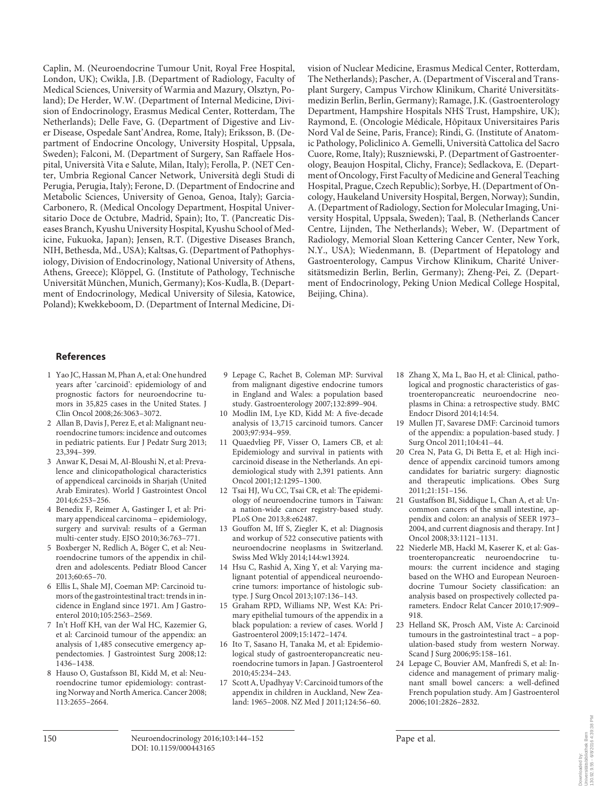Caplin, M. (Neuroendocrine Tumour Unit, Royal Free Hospital, London, UK); Cwikla, J.B. (Department of Radiology, Faculty of Medical Sciences, University of Warmia and Mazury, Olsztyn, Poland); De Herder, W.W. (Department of Internal Medicine, Division of Endocrinology, Erasmus Medical Center, Rotterdam, The Netherlands); Delle Fave, G. (Department of Digestive and Liver Disease, Ospedale Sant'Andrea, Rome, Italy); Eriksson, B. (Department of Endocrine Oncology, University Hospital, Uppsala, Sweden); Falconi, M. (Department of Surgery, San Raffaele Hospital, Università Vita e Salute, Milan, Italy); Ferolla, P. (NET Center, Umbria Regional Cancer Network, Università degli Studi di Perugia, Perugia, Italy); Ferone, D. (Department of Endocrine and Metabolic Sciences, University of Genoa, Genoa, Italy); Garcia-Carbonero, R. (Medical Oncology Department, Hospital Universitario Doce de Octubre, Madrid, Spain); Ito, T. (Pancreatic Diseases Branch, Kyushu University Hospital, Kyushu School of Medicine, Fukuoka, Japan); Jensen, R.T. (Digestive Diseases Branch, NIH, Bethesda, Md., USA); Kaltsas, G. (Department of Pathophysiology, Division of Endocrinology, National University of Athens, Athens, Greece); Klöppel, G. (Institute of Pathology, Technische Universität München, Munich, Germany); Kos-Kudla, B. (Department of Endocrinology, Medical University of Silesia, Katowice, Poland); Kwekkeboom, D. (Department of Internal Medicine, Division of Nuclear Medicine, Erasmus Medical Center, Rotterdam, The Netherlands); Pascher, A. (Department of Visceral and Transplant Surgery, Campus Virchow Klinikum, Charité Universitätsmedizin Berlin, Berlin, Germany); Ramage, J.K. (Gastroenterology Department, Hampshire Hospitals NHS Trust, Hampshire, UK); Raymond, E. (Oncologie Médicale, Hôpitaux Universitaires Paris Nord Val de Seine, Paris, France); Rindi, G. (Institute of Anatomic Pathology, Policlinico A. Gemelli, Università Cattolica del Sacro Cuore, Rome, Italy); Ruszniewski, P. (Department of Gastroenterology, Beaujon Hospital, Clichy, France); Sedlackova, E. (Department of Oncology, First Faculty of Medicine and General Teaching Hospital, Prague, Czech Republic); Sorbye, H. (Department of Oncology, Haukeland University Hospital, Bergen, Norway); Sundin, A. (Department of Radiology, Section for Molecular Imaging, University Hospital, Uppsala, Sweden); Taal, B. (Netherlands Cancer Centre, Lijnden, The Netherlands); Weber, W. (Department of Radiology, Memorial Sloan Kettering Cancer Center, New York, N.Y., USA); Wiedenmann, B. (Department of Hepatology and Gastroenterology, Campus Virchow Klinikum, Charité Universitätsmedizin Berlin, Berlin, Germany); Zheng-Pei, Z. (Department of Endocrinology, Peking Union Medical College Hospital, Beijing, China).

#### **References**

- 1 Yao JC, Hassan M, Phan A, et al: One hundred years after 'carcinoid': epidemiology of and prognostic factors for neuroendocrine tumors in 35,825 cases in the United States. J Clin Oncol 2008;26:3063–3072.
- 2 Allan B, Davis J, Perez E, et al: Malignant neuroendocrine tumors: incidence and outcomes in pediatric patients. Eur J Pedatr Surg 2013; 23,394–399.
- 3 Anwar K, Desai M, Al-Bloushi N, et al: Prevalence and clinicopathological characteristics of appendiceal carcinoids in Sharjah (United Arab Emirates). World J Gastrointest Oncol 2014;6:253–256.
- 4 Benedix F, Reimer A, Gastinger I, et al: Primary appendiceal carcinoma – epidemiology, surgery and survival: results of a German multi-center study. EJSO 2010;36:763–771.
- 5 Boxberger N, Redlich A, Böger C, et al: Neuroendocrine tumors of the appendix in children and adolescents. Pediatr Blood Cancer 2013;60:65–70.
- 6 Ellis L, Shale MJ, Coeman MP: Carcinoid tumors of the gastrointestinal tract: trends in incidence in England since 1971. Am J Gastroenterol 2010;105:2563–2569.
- 7 In't Hoff KH, van der Wal HC, Kazemier G, et al: Carcinoid tumour of the appendix: an analysis of 1,485 consecutive emergency appendectomies. J Gastrointest Surg 2008;12: 1436–1438.
- 8 Hauso O, Gustafsson BI, Kidd M, et al: Neuroendocrine tumor epidemiology: contrasting Norway and North America. Cancer 2008; 113:2655–2664.
- 9 Lepage C, Rachet B, Coleman MP: Survival from malignant digestive endocrine tumors in England and Wales: a population based study. Gastroenterology 2007;132:899–904.
- 10 Modlin IM, Lye KD, Kidd M: A five-decade analysis of 13,715 carcinoid tumors. Cancer 2003;97:934–959.
- 11 Quaedvlieg PF, Visser O, Lamers CB, et al: Epidemiology and survival in patients with carcinoid disease in the Netherlands. An epidemiological study with 2,391 patients. Ann Oncol 2001;12:1295–1300.
- 12 Tsai HJ, Wu CC, Tsai CR, et al: The epidemiology of neuroendocrine tumors in Taiwan: a nation-wide cancer registry-based study. PLoS One 2013;8:e62487.
- 13 Gouffon M, Iff S, Ziegler K, et al: Diagnosis and workup of 522 consecutive patients with neuroendocrine neoplasms in Switzerland. Swiss Med Wkly 2014;144:w13924.
- 14 Hsu C, Rashid A, Xing Y, et al: Varying malignant potential of appendiceal neuroendocrine tumors: importance of histologic subtype. J Surg Oncol 2013;107:136–143.
- 15 Graham RPD, Williams NP, West KA: Primary epithelial tumours of the appendix in a black population: a review of cases. World J Gastroenterol 2009;15:1472–1474.
- 16 Ito T, Sasano H, Tanaka M, et al: Epidemiological study of gastroenteropancreatic neuroendocrine tumors in Japan. J Gastroenterol 2010;45:234–243.
- 17 Scott A, Upadhyay V: Carcinoid tumors of the appendix in children in Auckland, New Zealand: 1965–2008. NZ Med J 2011;124:56–60.
- 18 Zhang X, Ma L, Bao H, et al: Clinical, pathological and prognostic characteristics of gastroenteropancreatic neuroendocrine neoplasms in China: a retrospective study. BMC Endocr Disord 2014;14:54.
- 19 Mullen JT, Savarese DMF: Carcinoid tumors of the appendix: a population-based study. J Surg Oncol 2011;104:41–44.
- Crea N, Pata G, Di Betta E, et al: High incidence of appendix carcinoid tumors among candidates for bariatric surgery: diagnostic and therapeutic implications. Obes Surg 2011;21:151–156.
- 21 Gustaffson BI, Siddique L, Chan A, et al: Uncommon cancers of the small intestine, appendix and colon: an analysis of SEER 1973– 2004, and current diagnosis and therapy. Int J Oncol 2008;33:1121–1131.
- 22 Niederle MB, Hackl M, Kaserer K, et al: Gastroenteropancreatic neuroendocrine tumours: the current incidence and staging based on the WHO and European Neuroendocrine Tumour Society classification: an analysis based on prospectively collected parameters. Endocr Relat Cancer 2010;17:909– 918.
- 23 Helland SK, Prosch AM, Viste A: Carcinoid tumours in the gastrointestinal tract – a population-based study from western Norway. Scand J Surg 2006;95:158–161.
- 24 Lepage C, Bouvier AM, Manfredi S, et al: Incidence and management of primary malignant small bowel cancers: a well-defined French population study. Am J Gastroenterol 2006;101:2826–2832.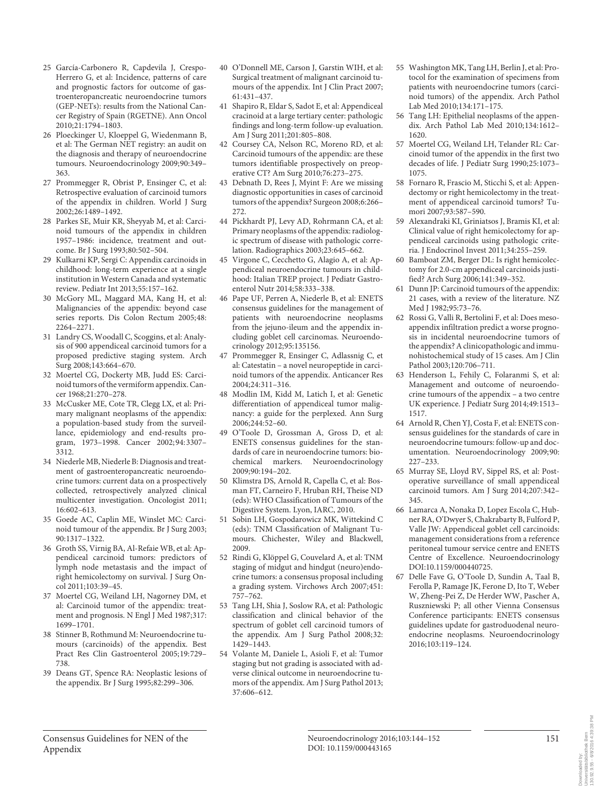- 25 García-Carbonero R, Capdevila J, Crespo-Herrero G, et al: Incidence, patterns of care and prognostic factors for outcome of gastroenteropancreatic neuroendocrine tumors (GEP-NETs): results from the National Cancer Registry of Spain (RGETNE). Ann Oncol 2010;21:1794–1803.
- 26 Ploeckinger U, Kloeppel G, Wiedenmann B, et al: The German NET registry: an audit on the diagnosis and therapy of neuroendocrine tumours. Neuroendocrinology 2009;90:349– 363.
- 27 Prommegger R, Obrist P, Ensinger C, et al: Retrospective evaluation of carcinoid tumors of the appendix in children. World J Surg 2002;26:1489–1492.
- 28 Parkes SE, Muir KR, Sheyyab M, et al: Carcinoid tumours of the appendix in children 1957–1986: incidence, treatment and outcome. Br J Surg 1993;80:502–504.
- 29 Kulkarni KP, Sergi C: Appendix carcinoids in childhood: long-term experience at a single institution in Western Canada and systematic review. Pediatr Int 2013;55:157–162.
- 30 McGory ML, Maggard MA, Kang H, et al: Malignancies of the appendix: beyond case series reports. Dis Colon Rectum 2005;48: 2264–2271.
- 31 Landry CS, Woodall C, Scoggins, et al: Analysis of 900 appendiceal carcinoid tumors for a proposed predictive staging system. Arch Surg 2008;143:664–670.
- 32 Moertel CG, Dockerty MB, Judd ES: Carcinoid tumors of the vermiform appendix. Cancer 1968;21:270–278.
- 33 McCusker ME, Cote TR, Clegg LX, et al: Primary malignant neoplasms of the appendix: a population-based study from the surveillance, epidemiology and end-results program, 1973–1998. Cancer 2002; 94: 3307– 3312.
- 34 Niederle MB, Niederle B: Diagnosis and treatment of gastroenteropancreatic neuroendocrine tumors: current data on a prospectively collected, retrospectively analyzed clinical multicenter investigation. Oncologist 2011; 16:602–613.
- 35 Goede AC, Caplin ME, Winslet MC: Carcinoid tumour of the appendix. Br J Surg 2003; 90:1317–1322.
- 36 Groth SS, Virnig BA, Al-Refaie WB, et al: Appendiceal carcinoid tumors: predictors of lymph node metastasis and the impact of right hemicolectomy on survival. J Surg Oncol 2011;103:39–45.
- 37 Moertel CG, Weiland LH, Nagorney DM, et al: Carcinoid tumor of the appendix: treatment and prognosis. N Engl J Med 1987;317: 1699–1701.
- 38 Stinner B, Rothmund M: Neuroendocrine tumours (carcinoids) of the appendix. Best Pract Res Clin Gastroenterol 2005;19:729– 738.
- 39 Deans GT, Spence RA: Neoplastic lesions of the appendix. Br J Surg 1995;82:299–306.
- 40 O'Donnell ME, Carson J, Garstin WIH, et al: Surgical treatment of malignant carcinoid tumours of the appendix. Int J Clin Pract 2007; 61:431–437.
- 41 Shapiro R, Eldar S, Sadot E, et al: Appendiceal cracinoid at a large tertiary center: pathologic findings and long-term follow-up evaluation. Am J Surg 2011;201:805–808.
- 42 Coursey CA, Nelson RC, Moreno RD, et al: Carcinoid tumours of the appendix: are these tumors identifiable prospectively on preoperative CT? Am Surg 2010;76:273–275.
- 43 Debnath D, Rees J, Myint F: Are we missing diagnostic opportunities in cases of carcinoid tumors of the appendix? Surgeon 2008;6:266– 272.
- 44 Pickhardt PJ, Levy AD, Rohrmann CA, et al: Primary neoplasms of the appendix: radiologic spectrum of disease with pathologic correlation. Radiographics 2003;23:645–662.
- 45 Virgone C, Cecchetto G, Alagio A, et al: Appendiceal neuroendocrine tumours in childhood: Italian TREP project. J Pediatr Gastroenterol Nutr 2014;58:333–338.
- 46 Pape UF, Perren A, Niederle B, et al: ENETS consensus guidelines for the management of patients with neuroendocrine neoplasms from the jejuno-ileum and the appendix including goblet cell carcinomas. Neuroendocrinology 2012;95:135156.
- 47 Prommegger R, Ensinger C, Adlassnig C, et al: Catestatin – a novel neuropeptide in carcinoid tumors of the appendix. Anticancer Res 2004;24:311–316.
- 48 Modlin IM, Kidd M, Latich I, et al: Genetic differentiation of appendiceal tumor malignancy: a guide for the perplexed. Ann Surg 2006;244:52–60.
- 49 O'Toole D, Grossman A, Gross D, et al: ENETS consensus guidelines for the standards of care in neuroendocrine tumors: biochemical markers. Neuroendocrinology 2009;90:194–202.
- 50 Klimstra DS, Arnold R, Capella C, et al: Bosman FT, Carneiro F, Hruban RH, Theise ND (eds): WHO Classification of Tumours of the Digestive System. Lyon, IARC, 2010.
- 51 Sobin LH, Gospodarowicz MK, Wittekind C (eds): TNM Classification of Malignant Tumours. Chichester, Wiley and Blackwell, 2009.
- 52 Rindi G, Klöppel G, Couvelard A, et al: TNM staging of midgut and hindgut (neuro)endocrine tumors: a consensus proposal including a grading system. Virchows Arch 2007;451: 757–762.
- 53 Tang LH, Shia J, Soslow RA, et al: Pathologic classification and clinical behavior of the spectrum of goblet cell carcinoid tumors of the appendix. Am J Surg Pathol 2008;32: 1429–1443.
- 54 Volante M, Daniele L, Asioli F, et al: Tumor staging but not grading is associated with adverse clinical outcome in neuroendocrine tumors of the appendix. Am J Surg Pathol 2013; 37:606–612.
- 55 Washington MK, Tang LH, Berlin J, et al: Protocol for the examination of specimens from patients with neuroendocrine tumors (carcinoid tumors) of the appendix. Arch Pathol Lab Med 2010;134:171–175.
- 56 Tang LH: Epithelial neoplasms of the appendix. Arch Pathol Lab Med 2010;134:1612– 1620.
- 57 Moertel CG, Weiland LH, Telander RL: Carcinoid tumor of the appendix in the first two decades of life. J Pediatr Surg 1990;25:1073– 1075.
- 58 Fornaro R, Frascio M, Sticchi S, et al: Appendectomy or right hemicolectomy in the treatment of appendiceal carcinoid tumors? Tumori 2007;93:587–590.
- 59 Alexandraki KI, Griniatsos J, Bramis KI, et al: Clinical value of right hemicolectomy for appendiceal carcinoids using pathologic criteria. J Endocrinol Invest 2011;34:255–259.
- 60 Bamboat ZM, Berger DL: Is right hemicolectomy for 2.0-cm appendiceal carcinoids justified? Arch Surg 2006;141:349–352.
- 61 Dunn JP: Carcinoid tumours of the appendix: 21 cases, with a review of the literature. NZ Med J 1982;95:73–76.
- 62 Rossi G, Valli R, Bertolini F, et al: Does mesoappendix infiltration predict a worse prognosis in incidental neuroendocrine tumors of the appendix? A clinicopathologic and immunohistochemical study of 15 cases. Am J Clin Pathol 2003;120:706–711.
- 63 Henderson L, Fehily C, Folaranmi S, et al: Management and outcome of neuroendocrine tumours of the appendix – a two centre UK experience. J Pediatr Surg 2014;49:1513– 1517.
- 64 Arnold R, Chen YJ, Costa F, et al: ENETS consensus guidelines for the standards of care in neuroendocrine tumours: follow-up and documentation. Neuroendocrinology 2009; 90: 227–233.
- 65 Murray SE, Lloyd RV, Sippel RS, et al: Postoperative surveillance of small appendiceal carcinoid tumors. Am J Surg 2014;207:342– 345.
- 66 Lamarca A, Nonaka D, Lopez Escola C, Hubner RA, O'Dwyer S, Chakrabarty B, Fulford P, Valle JW: Appendiceal goblet cell carcinoids: management considerations from a reference peritoneal tumour service centre and ENETS Centre of Excellence. Neuroendocrinology DOI:10.1159/000440725.
- 67 Delle Fave G, O'Toole D, Sundin A, Taal B, Ferolla P, Ramage JK, Ferone D, Ito T, Weber W, Zheng-Pei Z, De Herder WW, Pascher A, Ruszniewski P; all other Vienna Consensus Conference participants: ENETS consensus guidelines update for gastroduodenal neuroendocrine neoplasms. Neuroendocrinology 2016;103:119–124.